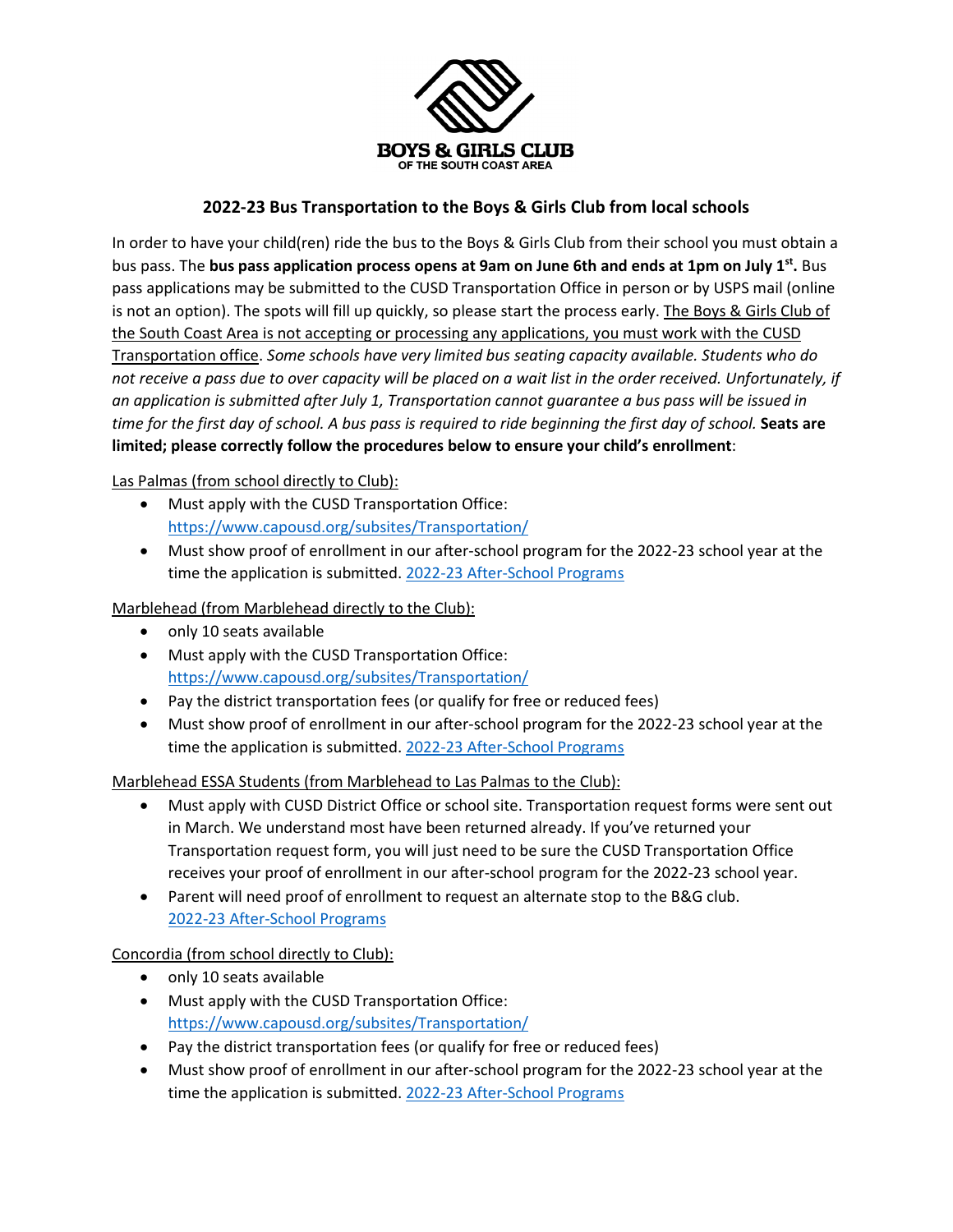

## **2022-23 Bus Transportation to the Boys & Girls Club from local schools**

In order to have your child(ren) ride the bus to the Boys & Girls Club from their school you must obtain a bus pass. The **bus pass application process opens at 9am on June 6th and ends at 1pm on July 1st.** Bus pass applications may be submitted to the CUSD Transportation Office in person or by USPS mail (online is not an option). The spots will fill up quickly, so please start the process early. The Boys & Girls Club of the South Coast Area is not accepting or processing any applications, you must work with the CUSD Transportation office. *Some schools have very limited bus seating capacity available. Students who do not receive a pass due to over capacity will be placed on a wait list in the order received. Unfortunately, if an application is submitted after July 1, Transportation cannot guarantee a bus pass will be issued in time for the first day of school. A bus pass is required to ride beginning the first day of school.* **Seats are limited; please correctly follow the procedures below to ensure your child's enrollment**:

Las Palmas (from school directly to Club):

- Must apply with the CUSD Transportation Office: [https://www.capousd.org/subsites/Transportation/](https://linkprotect.cudasvc.com/url?a=https%3a%2f%2fwww.capousd.org%2fsubsites%2fTransportation%2f&c=E,1,HH5hwCrDSSneVkTpnQDUrEYAaOgPQNV7XnWFbnFu3lnJmrF-ocDRdtTq9vG14ELE3dB17t_8PJNUnWCpXP9HELkcmX-c5JCSKC0OkegNkgY,&typo=1)
- Must show proof of enrollment in our after-school program for the 2022-23 school year at the time the application is submitted. 2022-23 [After-School Programs](https://www.bgcsca.org/afterschool)

Marblehead (from Marblehead directly to the Club):

- only 10 seats available
- Must apply with the CUSD Transportation Office: [https://www.capousd.org/subsites/Transportation/](https://linkprotect.cudasvc.com/url?a=https%3a%2f%2fwww.capousd.org%2fsubsites%2fTransportation%2f&c=E,1,HH5hwCrDSSneVkTpnQDUrEYAaOgPQNV7XnWFbnFu3lnJmrF-ocDRdtTq9vG14ELE3dB17t_8PJNUnWCpXP9HELkcmX-c5JCSKC0OkegNkgY,&typo=1)
- Pay the district transportation fees (or qualify for free or reduced fees)
- Must show proof of enrollment in our after-school program for the 2022-23 school year at the time the application is submitted. [2022-23 After-School Programs](https://www.bgcsca.org/afterschool)

Marblehead ESSA Students (from Marblehead to Las Palmas to the Club):

- Must apply with CUSD District Office or school site. Transportation request forms were sent out in March. We understand most have been returned already. If you've returned your Transportation request form, you will just need to be sure the CUSD Transportation Office receives your proof of enrollment in our after-school program for the 2022-23 school year.
- Parent will need proof of enrollment to request an alternate stop to the B&G club. [2022-23 After-School Programs](https://www.bgcsca.org/afterschool)

Concordia (from school directly to Club):

- only 10 seats available
- Must apply with the CUSD Transportation Office: [https://www.capousd.org/subsites/Transportation/](https://linkprotect.cudasvc.com/url?a=https%3a%2f%2fwww.capousd.org%2fsubsites%2fTransportation%2f&c=E,1,HH5hwCrDSSneVkTpnQDUrEYAaOgPQNV7XnWFbnFu3lnJmrF-ocDRdtTq9vG14ELE3dB17t_8PJNUnWCpXP9HELkcmX-c5JCSKC0OkegNkgY,&typo=1)
- Pay the district transportation fees (or qualify for free or reduced fees)
- Must show proof of enrollment in our after-school program for the 2022-23 school year at the time the application is submitted. 2022-23 [After-School Programs](https://www.bgcsca.org/afterschool)